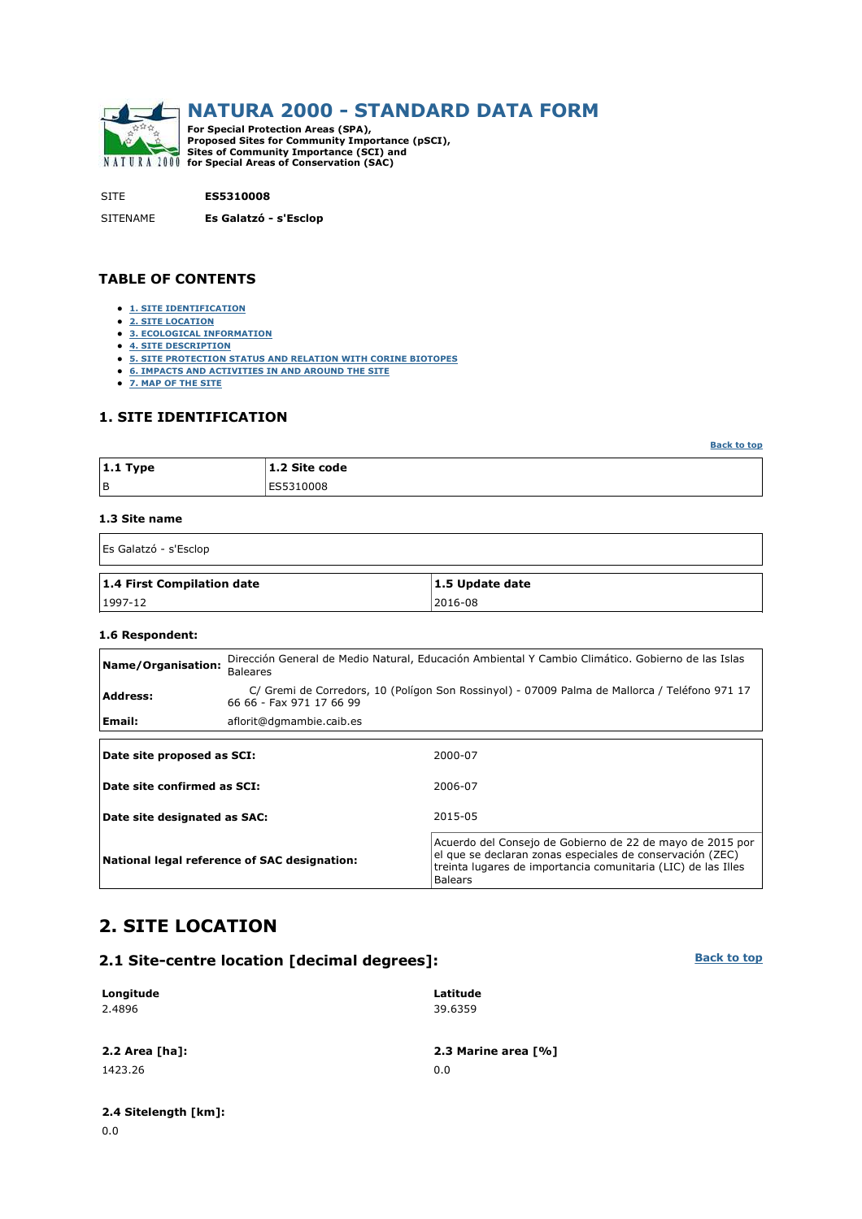

SITE **ES5310008**

SITENAME **Es Galatzó - s'Esclop**

### **TABLE OF CONTENTS**

- **1. SITE IDENTIFICATION**
- **2. SITE LOCATION**
- **3. ECOLOGICAL INFORMATION**
- **4. SITE DESCRIPTION**
- **5. SITE PROTECTION STATUS AND RELATION WITH CORINE BIOTOPES**
- **6. IMPACTS AND ACTIVITIES IN AND AROUND THE SITE**
- **7. MAP OF THE SITE**

### **1. SITE IDENTIFICATION**

**Back to top**

**Back to top**

| $ 1.1$ Type | 1.2 Site code |
|-------------|---------------|
| l B         | ES5310008     |

#### **1.3 Site name**

Es Galatzó - s'Esclop

| 1.4 First Compilation date | 1.5 Update date |
|----------------------------|-----------------|
| $1997 - 12$                | 2016-08         |

#### **1.6 Respondent:**

| Name/Organisation:           | <b>Baleares</b>                              | Dirección General de Medio Natural, Educación Ambiental Y Cambio Climático. Gobierno de las Islas                                                                                                         |  |  |  |
|------------------------------|----------------------------------------------|-----------------------------------------------------------------------------------------------------------------------------------------------------------------------------------------------------------|--|--|--|
| <b>Address:</b>              | 66 66 - Fax 971 17 66 99                     | C/ Gremi de Corredors, 10 (Polígon Son Rossinyol) - 07009 Palma de Mallorca / Teléfono 971 17                                                                                                             |  |  |  |
| Email:                       | aflorit@dgmambie.caib.es                     |                                                                                                                                                                                                           |  |  |  |
|                              |                                              |                                                                                                                                                                                                           |  |  |  |
| Date site proposed as SCI:   |                                              | 2000-07                                                                                                                                                                                                   |  |  |  |
| Date site confirmed as SCI:  |                                              | 2006-07                                                                                                                                                                                                   |  |  |  |
| Date site designated as SAC: |                                              | 2015-05                                                                                                                                                                                                   |  |  |  |
|                              | National legal reference of SAC designation: | Acuerdo del Consejo de Gobierno de 22 de mayo de 2015 por<br>el que se declaran zonas especiales de conservación (ZEC)<br>treinta lugares de importancia comunitaria (LIC) de las Illes<br><b>Balears</b> |  |  |  |

# **2. SITE LOCATION**

### **2.1 Site-centre location [decimal degrees]:**

#### **Longitude** 2.4896 **Latitude** 39.6359 **2.2 Area [ha]: 2.3 Marine area [%]** 1423.26 0.0

# **2.4 Sitelength [km]:**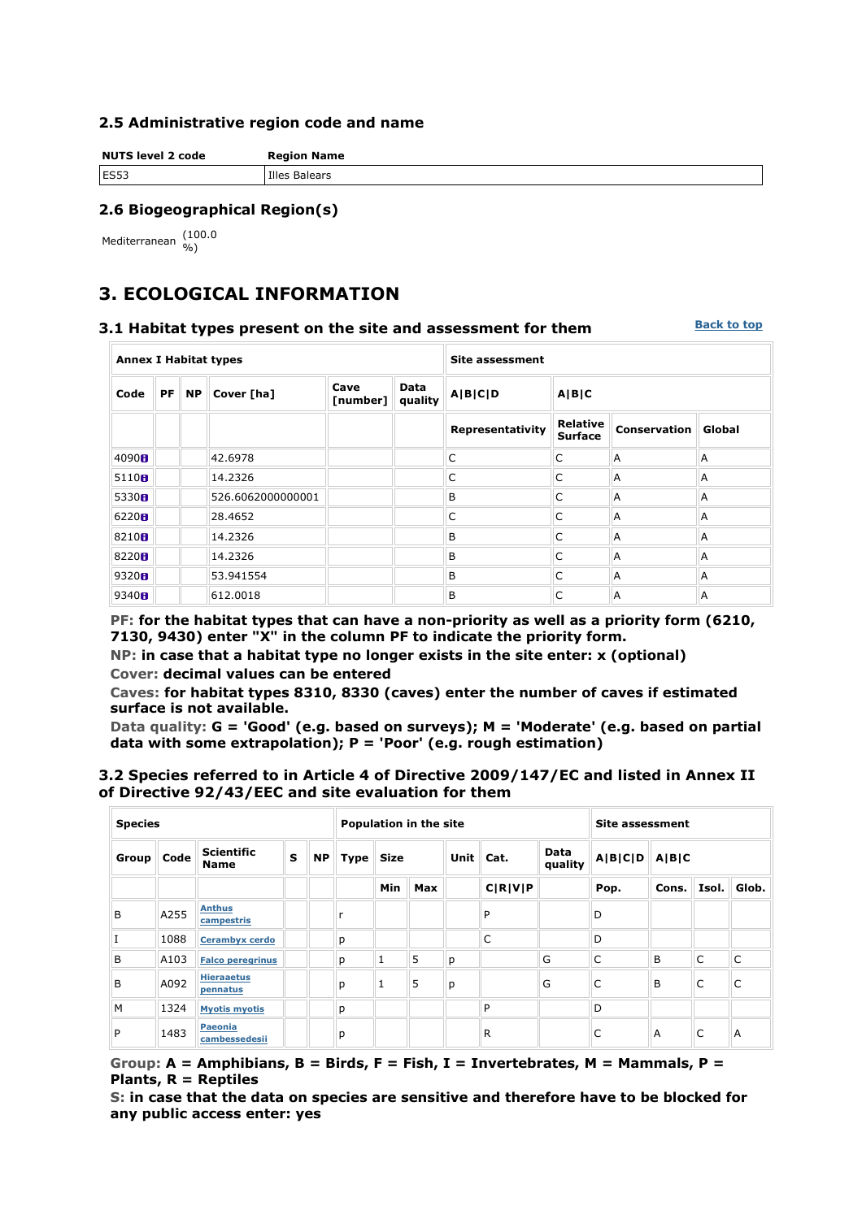### **2.5 Administrative region code and name**

**NUTS level 2 code Region Name ES53** Illes Balears

## **2.6 Biogeographical Region(s)**

Mediterranean (100.0

# **3. ECOLOGICAL INFORMATION**

#### **3.1 Habitat types present on the site and assessment for them**

**Back to top**

| <b>Annex I Habitat types</b>                                                    |  |  |                   |  | <b>Site assessment</b> |                  |                                   |                     |        |
|---------------------------------------------------------------------------------|--|--|-------------------|--|------------------------|------------------|-----------------------------------|---------------------|--------|
| Cave<br><b>Data</b><br><b>PF</b><br><b>NP</b><br>Cover [ha]<br>Code<br>[number] |  |  |                   |  | quality                | A B C D          |                                   |                     |        |
|                                                                                 |  |  |                   |  |                        | Representativity | <b>Relative</b><br><b>Surface</b> | <b>Conservation</b> | Global |
| 4090H                                                                           |  |  | 42.6978           |  |                        | C                | C                                 | A                   | A      |
| 5110 <sub>0</sub>                                                               |  |  | 14.2326           |  |                        | C                | C                                 | A                   | A      |
| 5330H                                                                           |  |  | 526.6062000000001 |  |                        | B                | C                                 | A                   | A      |
| 6220H                                                                           |  |  | 28,4652           |  |                        | C                | C                                 | A                   | A      |
| 8210 <sub>0</sub>                                                               |  |  | 14.2326           |  |                        | B                | C                                 | A                   | A      |
| 8220 $\textbf{H}$                                                               |  |  | 14.2326           |  |                        | B                | C                                 | A                   | A      |
| 9320 <sub>0</sub>                                                               |  |  | 53.941554         |  |                        | B                | C                                 | A                   | A      |
| 9340H                                                                           |  |  | 612.0018          |  |                        | B                | C                                 | Α                   | A      |

**PF: for the habitat types that can have a non-priority as well as a priority form (6210, 7130, 9430) enter "X" in the column PF to indicate the priority form.** 

**NP: in case that a habitat type no longer exists in the site enter: x (optional) Cover: decimal values can be entered** 

**Caves: for habitat types 8310, 8330 (caves) enter the number of caves if estimated surface is not available.** 

**Data quality: G = 'Good' (e.g. based on surveys); M = 'Moderate' (e.g. based on partial data with some extrapolation); P = 'Poor' (e.g. rough estimation)** 

### **3.2 Species referred to in Article 4 of Directive 2009/147/EC and listed in Annex II of Directive 92/43/EEC and site evaluation for them**

| <b>Species</b> |      |                                  |   | <b>Population in the site</b> |   |              |     | Site assessment |         |   |      |           |       |           |                 |         |       |  |  |
|----------------|------|----------------------------------|---|-------------------------------|---|--------------|-----|-----------------|---------|---|------|-----------|-------|-----------|-----------------|---------|-------|--|--|
| Group          | Code | <b>Scientific</b><br><b>Name</b> | S | <b>NP</b>                     |   |              |     |                 |         |   |      | Type Size |       | Unit Cat. | Data<br>quality | A B C D | A B C |  |  |
|                |      |                                  |   |                               |   | Min          | Max |                 | C R V P |   | Pop. | Cons.     | Isol. | Glob.     |                 |         |       |  |  |
| B              | A255 | <b>Anthus</b><br>campestris      |   |                               |   |              |     |                 | P       |   | D    |           |       |           |                 |         |       |  |  |
|                | 1088 | <b>Cerambyx cerdo</b>            |   |                               | р |              |     |                 | C       |   | D    |           |       |           |                 |         |       |  |  |
| B              | A103 | <b>Falco peregrinus</b>          |   |                               | р | $\mathbf{1}$ | 5   | р               |         | G | C    | B         | C     | C         |                 |         |       |  |  |
| B              | A092 | <b>Hieraaetus</b><br>pennatus    |   |                               | р | 1            | 5   | р               |         | G | C    | B         | C     | C         |                 |         |       |  |  |
| M              | 1324 | <b>Myotis myotis</b>             |   |                               | p |              |     |                 | P       |   | D    |           |       |           |                 |         |       |  |  |
| P              | 1483 | <b>Paeonia</b><br>cambessedesii  |   |                               | р |              |     |                 | R       |   | C    | A         | C     | A         |                 |         |       |  |  |

**Group: A = Amphibians, B = Birds, F = Fish, I = Invertebrates, M = Mammals, P = Plants, R = Reptiles** 

**S: in case that the data on species are sensitive and therefore have to be blocked for any public access enter: yes**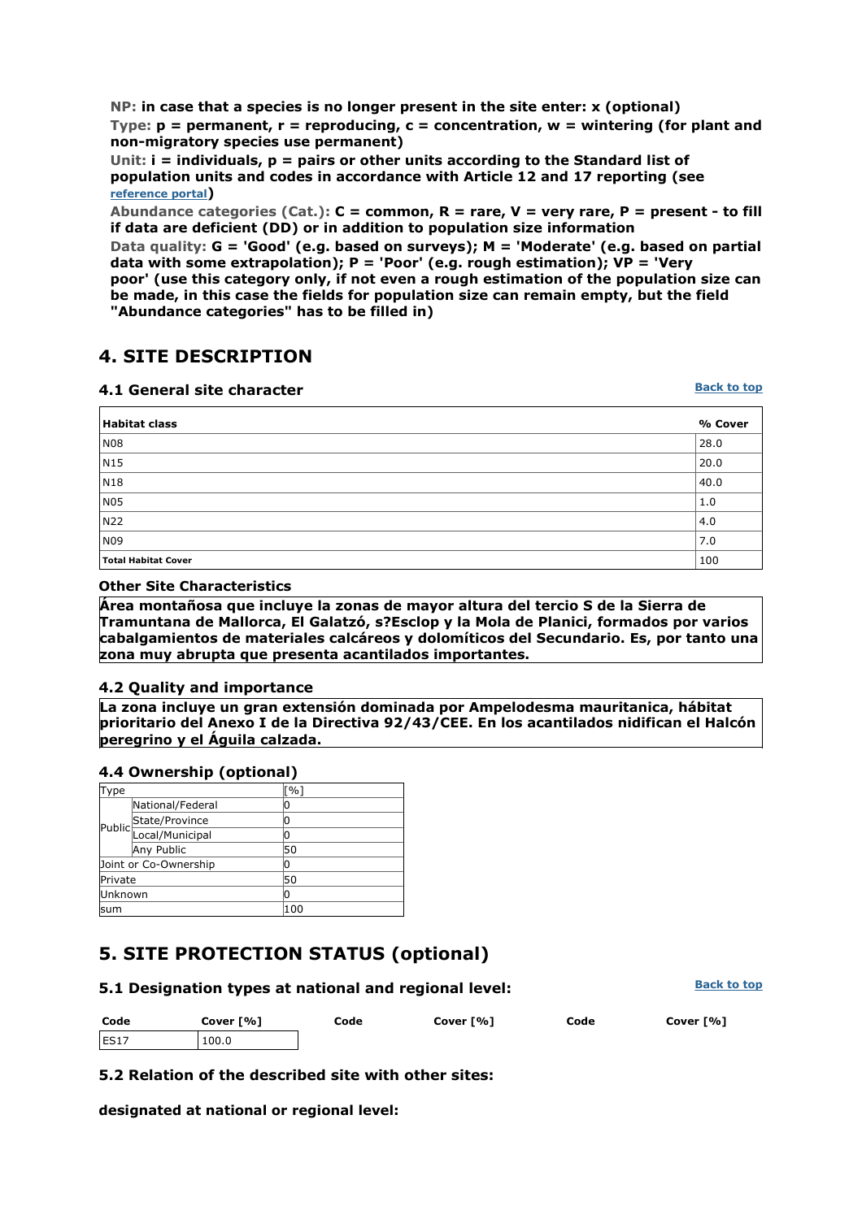**NP: in case that a species is no longer present in the site enter: x (optional) Type: p = permanent, r = reproducing, c = concentration, w = wintering (for plant and non-migratory species use permanent)** 

**Unit: i = individuals, p = pairs or other units according to the Standard list of population units and codes in accordance with Article 12 and 17 reporting (see reference portal)** 

**Abundance categories (Cat.): C = common, R = rare, V = very rare, P = present - to fill if data are deficient (DD) or in addition to population size information** 

**Data quality: G = 'Good' (e.g. based on surveys); M = 'Moderate' (e.g. based on partial data with some extrapolation); P = 'Poor' (e.g. rough estimation); VP = 'Very poor' (use this category only, if not even a rough estimation of the population size can be made, in this case the fields for population size can remain empty, but the field** 

**"Abundance categories" has to be filled in)** 

# **4. SITE DESCRIPTION**

## **4.1 General site character**

**Back to top**

| <b>Habitat class</b>       | % Cover |
|----------------------------|---------|
| N08                        | 28.0    |
| N15                        | 20.0    |
| $\sqrt{N18}$               | 40.0    |
| N05                        | 1.0     |
| N22                        | 4.0     |
| N09                        | 7.0     |
| <b>Total Habitat Cover</b> | 100     |

### **Other Site Characteristics**

**Área montañosa que incluye la zonas de mayor altura del tercio S de la Sierra de Tramuntana de Mallorca, El Galatzó, s?Esclop y la Mola de Planici, formados por varios cabalgamientos de materiales calcáreos y dolomíticos del Secundario. Es, por tanto una zona muy abrupta que presenta acantilados importantes.**

## **4.2 Quality and importance**

**La zona incluye un gran extensión dominada por Ampelodesma mauritanica, hábitat prioritario del Anexo I de la Directiva 92/43/CEE. En los acantilados nidifican el Halcón peregrino y el Águila calzada.**

## **4.4 Ownership (optional)**

| Type           |                       | $\lceil$ %] |
|----------------|-----------------------|-------------|
|                | National/Federal      |             |
|                |                       |             |
|                | Public State/Province | 0           |
|                | Any Public            | 50          |
|                | Joint or Co-Ownership | 0           |
| Private        |                       | 50          |
| <b>Unknown</b> |                       | 0           |
| lsum           |                       | 100         |

# **5. SITE PROTECTION STATUS (optional)**

| 5.1 Designation types at national and regional level: | <b>Back to top</b> |
|-------------------------------------------------------|--------------------|
|                                                       |                    |

| Code             | Cover [%] |  |
|------------------|-----------|--|
| FS <sub>17</sub> | 100.0     |  |

**Code Cover [%] Code Cover [%] Code Cover [%]**

# **5.2 Relation of the described site with other sites:**

**designated at national or regional level:**